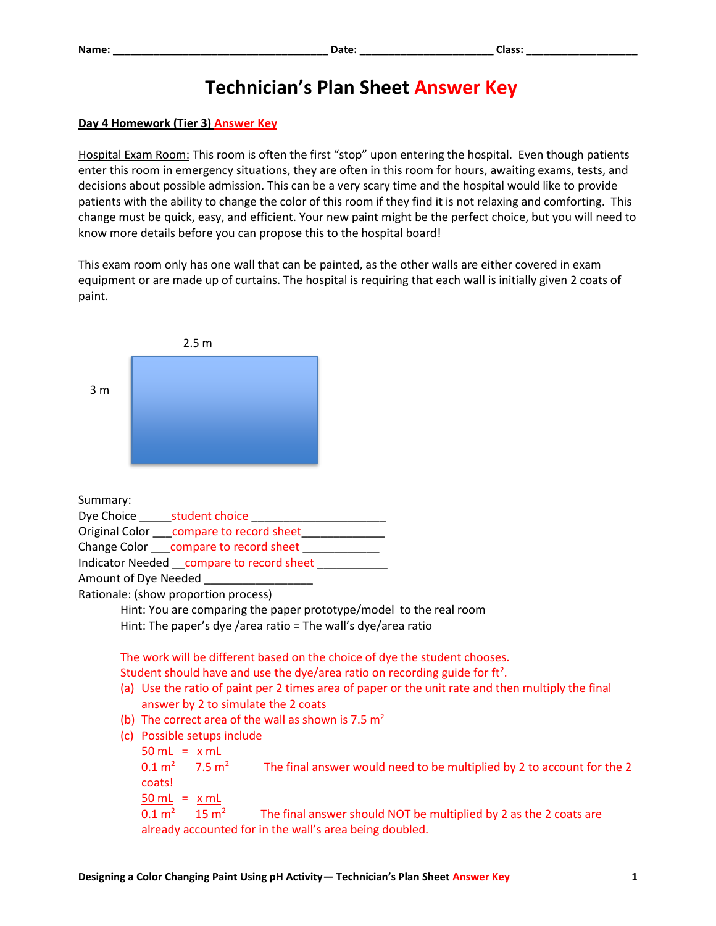## **Technician's Plan Sheet Answer Key**

## **Day 4 Homework (Tier 3) Answer Key**

Hospital Exam Room: This room is often the first "stop" upon entering the hospital. Even though patients enter this room in emergency situations, they are often in this room for hours, awaiting exams, tests, and decisions about possible admission. This can be a very scary time and the hospital would like to provide patients with the ability to change the color of this room if they find it is not relaxing and comforting. This change must be quick, easy, and efficient. Your new paint might be the perfect choice, but you will need to know more details before you can propose this to the hospital board!

This exam room only has one wall that can be painted, as the other walls are either covered in exam equipment or are made up of curtains. The hospital is requiring that each wall is initially given 2 coats of paint.

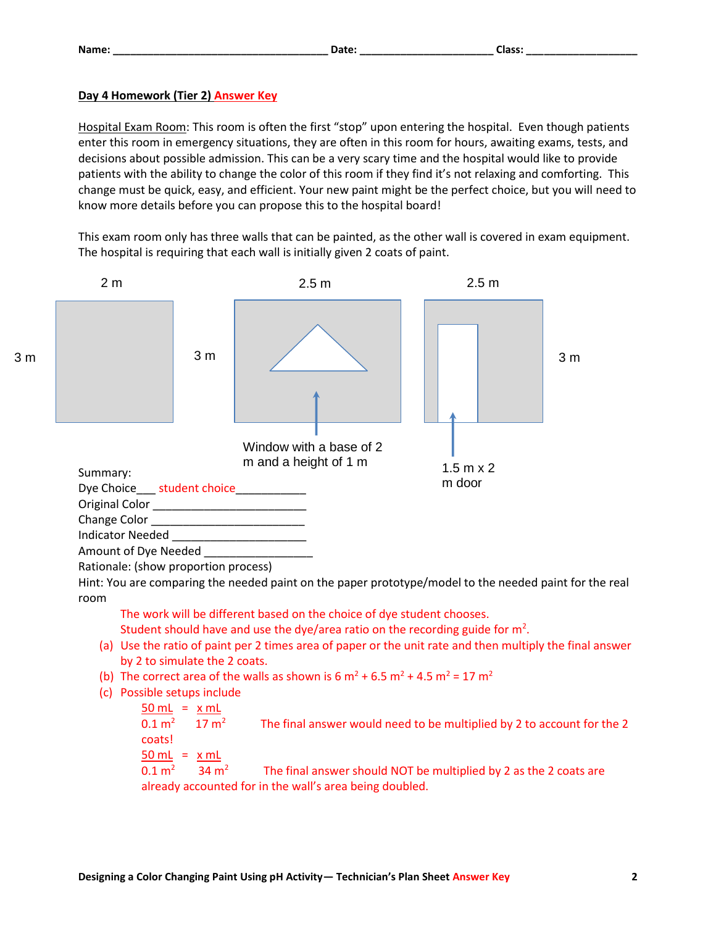## **Day 4 Homework (Tier 2) Answer Key**

Hospital Exam Room: This room is often the first "stop" upon entering the hospital. Even though patients enter this room in emergency situations, they are often in this room for hours, awaiting exams, tests, and decisions about possible admission. This can be a very scary time and the hospital would like to provide patients with the ability to change the color of this room if they find it's not relaxing and comforting. This change must be quick, easy, and efficient. Your new paint might be the perfect choice, but you will need to know more details before you can propose this to the hospital board!

This exam room only has three walls that can be painted, as the other wall is covered in exam equipment. The hospital is requiring that each wall is initially given 2 coats of paint.



- by 2 to simulate the 2 coats.
- (b) The correct area of the walls as shown is 6  $\text{m}^2$  + 6.5  $\text{m}^2$  + 4.5  $\text{m}^2$  = 17  $\text{m}^2$

```
(c) Possible setups include 
50 mL = x mL
```
 $0.1 \text{ m}^2$  17 m<sup>2</sup> The final answer would need to be multiplied by 2 to account for the 2 coats!  $50$  mL =  $x$  mL  $0.1 \text{ m}^2$ 34  $m<sup>2</sup>$  The final answer should NOT be multiplied by 2 as the 2 coats are already accounted for in the wall's area being doubled.